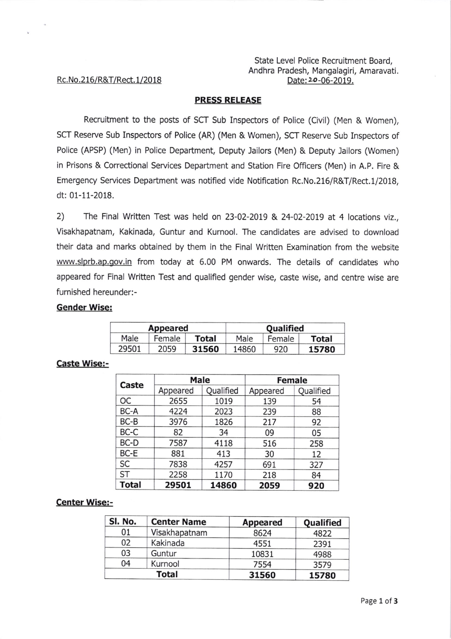## State Level Police Recruitment Board, Andhra Pradesh, Mangalagiri, Amaravati. Date: 20-06-2019.

# Rc. No.216/R&T/Rect. 1/2018

## PRESS RELEASE

Recruitment to the posts of SCT Sub Inspectors of Police (Civil) (Men & Women), SCT Reserve Sub Inspectors of Police (AR) (Men & Women), SCT Reserve Sub Inspectors of Police (APSP) (Men) in Police Department, Deputy Jailors (Men) & Deputy Jailors (Women) in Prisons & Correctional Services Department and Station Fire Officers (Men) in A.P. Fire & Emergency Services Department was notified vide Notification Rc. No. 216/R&T/Rect. 1/2018, dt: 01-11-2018.

2) The Final Written Test was held on 23-02-2019 & 24-02-2019 at 4 locations viz., Visakhapatnam, Kakinada, Guntur and Kurnool. The candidates are advised to download their data and marks obtained by them in the Final Written Examination from the website www.slprb.ap.gov.in from today at 6.00 PM onwards. The details of candidates who appeared for Final Written Test and qualified gender wise, caste wise, and centre wise are furnished hereunder:-

## Gender Wise:

| Appeared |        |       | Qualified |        |       |
|----------|--------|-------|-----------|--------|-------|
| Male     | Female | Total | Male      | Female | Total |
| 29501    | 2059   | 31560 | 14860     | 920    | 15780 |

#### Caste Wise:-

| Caste        | Male     |           | <b>Female</b> |           |  |
|--------------|----------|-----------|---------------|-----------|--|
|              | Appeared | Qualified | Appeared      | Qualified |  |
| OС           | 2655     | 1019      | 139           | 54        |  |
| BC-A         | 4224     | 2023      | 239           | 88        |  |
| BC-B         | 3976     | 1826      | 217           | 92        |  |
| BC-C         | 82       | 34        | 09            | 05        |  |
| BC-D         | 7587     | 4118      | 516           | 258       |  |
| BC-E         | 881      | 413       | 30            | 12        |  |
| SC           | 7838     | 4257      | 691           | 327       |  |
| <b>ST</b>    | 2258     | 1170      | 218           | 84        |  |
| <b>Total</b> | 29501    | 14860     | 2059          | 920       |  |

#### Center Wise:-

| SI. No. | <b>Center Name</b> | <b>Appeared</b> | Qualified |  |
|---------|--------------------|-----------------|-----------|--|
| 01      | Visakhapatnam      | 8624            | 4822      |  |
| 02      | Kakinada           | 4551            | 2391      |  |
| 03      | Guntur             | 10831           | 4988      |  |
| 04      | Kurnool            | 7554            | 3579      |  |
|         | <b>Total</b>       | 31560           | 15780     |  |